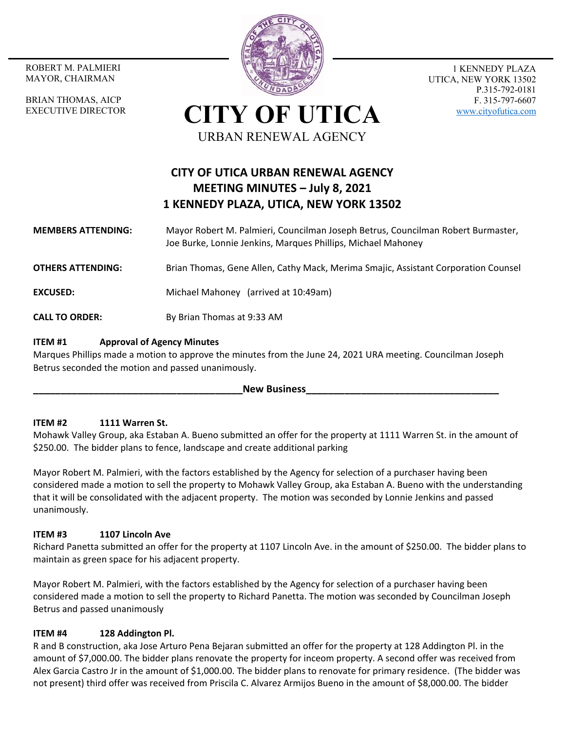MAYOR, CHAIRMAN

BRIAN THOMAS, AICP EXECUTIVE DIRECTOR



1 KENNEDY PLAZA UTICA, NEW YORK 13502 P.315-792-0181 F. 315-797-6607 www.cityofutica.com

**CITY OF UTICA** URBAN RENEWAL AGENCY

# **CITY OF UTICA URBAN RENEWAL AGENCY MEETING MINUTES – July 8, 2021 1 KENNEDY PLAZA, UTICA, NEW YORK 13502**

#### **MEMBERS ATTENDING:**  Mayor Robert M. Palmieri, Councilman Joseph Betrus, Councilman Robert Burmaster, Joe Burke, Lonnie Jenkins, Marques Phillips, Michael Mahoney

**OTHERS ATTENDING:** Brian Thomas, Gene Allen, Cathy Mack, Merima Smajic, Assistant Corporation Counsel

**EXCUSED:** Michael Mahoney (arrived at 10:49am)

**CALL TO ORDER:** By Brian Thomas at 9:33 AM

#### **ITEM #1 Approval of Agency Minutes**

Marques Phillips made a motion to approve the minutes from the June 24, 2021 URA meeting. Councilman Joseph Betrus seconded the motion and passed unanimously.

**New Business** 

#### **ITEM #2 1111 Warren St.**

Mohawk Valley Group, aka Estaban A. Bueno submitted an offer for the property at 1111 Warren St. in the amount of \$250.00. The bidder plans to fence, landscape and create additional parking

Mayor Robert M. Palmieri, with the factors established by the Agency for selection of a purchaser having been considered made a motion to sell the property to Mohawk Valley Group, aka Estaban A. Bueno with the understanding that it will be consolidated with the adjacent property. The motion was seconded by Lonnie Jenkins and passed unanimously.

#### **ITEM #3 1107 Lincoln Ave**

Richard Panetta submitted an offer for the property at 1107 Lincoln Ave. in the amount of \$250.00. The bidder plans to maintain as green space for his adjacent property.

Mayor Robert M. Palmieri, with the factors established by the Agency for selection of a purchaser having been considered made a motion to sell the property to Richard Panetta. The motion was seconded by Councilman Joseph Betrus and passed unanimously

#### **ITEM #4 128 Addington Pl.**

R and B construction, aka Jose Arturo Pena Bejaran submitted an offer for the property at 128 Addington Pl. in the amount of \$7,000.00. The bidder plans renovate the property for inceom property. A second offer was received from Alex Garcia Castro Jr in the amount of \$1,000.00. The bidder plans to renovate for primary residence. (The bidder was not present) third offer was received from Priscila C. Alvarez Armijos Bueno in the amount of \$8,000.00. The bidder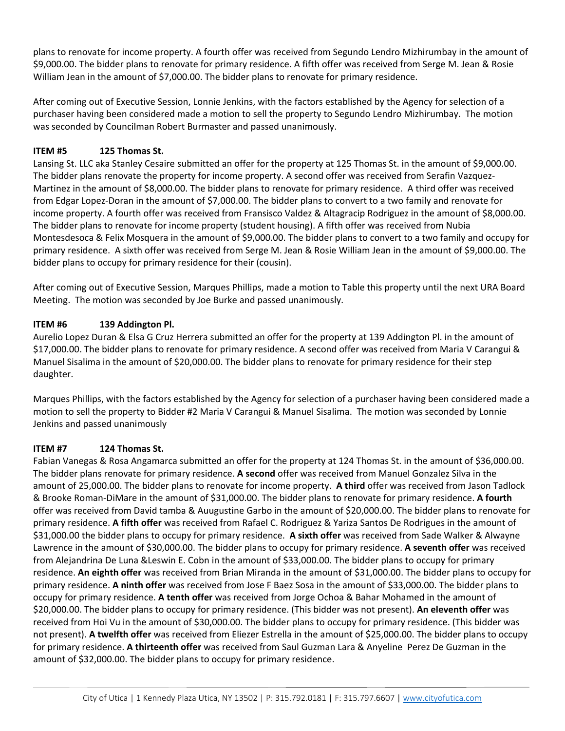plans to renovate for income property. A fourth offer was received from Segundo Lendro Mizhirumbay in the amount of \$9,000.00. The bidder plans to renovate for primary residence. A fifth offer was received from Serge M. Jean & Rosie William Jean in the amount of \$7,000.00. The bidder plans to renovate for primary residence.

After coming out of Executive Session, Lonnie Jenkins, with the factors established by the Agency for selection of a purchaser having been considered made a motion to sell the property to Segundo Lendro Mizhirumbay. The motion was seconded by Councilman Robert Burmaster and passed unanimously.

# **ITEM #5 125 Thomas St.**

Lansing St. LLC aka Stanley Cesaire submitted an offer for the property at 125 Thomas St. in the amount of \$9,000.00. The bidder plans renovate the property for income property. A second offer was received from Serafin Vazquez‐ Martinez in the amount of \$8,000.00. The bidder plans to renovate for primary residence. A third offer was received from Edgar Lopez‐Doran in the amount of \$7,000.00. The bidder plans to convert to a two family and renovate for income property. A fourth offer was received from Fransisco Valdez & Altagracip Rodriguez in the amount of \$8,000.00. The bidder plans to renovate for income property (student housing). A fifth offer was received from Nubia Montesdesoca & Felix Mosquera in the amount of \$9,000.00. The bidder plans to convert to a two family and occupy for primary residence. A sixth offer was received from Serge M. Jean & Rosie William Jean in the amount of \$9,000.00. The bidder plans to occupy for primary residence for their (cousin).

After coming out of Executive Session, Marques Phillips, made a motion to Table this property until the next URA Board Meeting. The motion was seconded by Joe Burke and passed unanimously.

## **ITEM #6 139 Addington Pl.**

Aurelio Lopez Duran & Elsa G Cruz Herrera submitted an offer for the property at 139 Addington Pl. in the amount of \$17,000.00. The bidder plans to renovate for primary residence. A second offer was received from Maria V Carangui & Manuel Sisalima in the amount of \$20,000.00. The bidder plans to renovate for primary residence for their step daughter.

Marques Phillips, with the factors established by the Agency for selection of a purchaser having been considered made a motion to sell the property to Bidder #2 Maria V Carangui & Manuel Sisalima. The motion was seconded by Lonnie Jenkins and passed unanimously

## **ITEM #7 124 Thomas St.**

Fabian Vanegas & Rosa Angamarca submitted an offer for the property at 124 Thomas St. in the amount of \$36,000.00. The bidder plans renovate for primary residence. **A second** offer was received from Manuel Gonzalez Silva in the amount of 25,000.00. The bidder plans to renovate for income property. **A third** offer was received from Jason Tadlock & Brooke Roman‐DiMare in the amount of \$31,000.00. The bidder plans to renovate for primary residence. **A fourth** offer was received from David tamba & Auugustine Garbo in the amount of \$20,000.00. The bidder plans to renovate for primary residence. **A fifth offer** was received from Rafael C. Rodriguez & Yariza Santos De Rodrigues in the amount of \$31,000.00 the bidder plans to occupy for primary residence. **A sixth offer** was received from Sade Walker & Alwayne Lawrence in the amount of \$30,000.00. The bidder plans to occupy for primary residence. **A seventh offer** was received from Alejandrina De Luna &Leswin E. Cobn in the amount of \$33,000.00. The bidder plans to occupy for primary residence. **An eighth offer** was received from Brian Miranda in the amount of \$31,000.00. The bidder plans to occupy for primary residence. **A ninth offer** was received from Jose F Baez Sosa in the amount of \$33,000.00. The bidder plans to occupy for primary residence. **A tenth offer** was received from Jorge Ochoa & Bahar Mohamed in the amount of \$20,000.00. The bidder plans to occupy for primary residence. (This bidder was not present). **An eleventh offer** was received from Hoi Vu in the amount of \$30,000.00. The bidder plans to occupy for primary residence. (This bidder was not present). **A twelfth offer** was received from Eliezer Estrella in the amount of \$25,000.00. The bidder plans to occupy for primary residence. **A thirteenth offer** was received from Saul Guzman Lara & Anyeline Perez De Guzman in the amount of \$32,000.00. The bidder plans to occupy for primary residence.